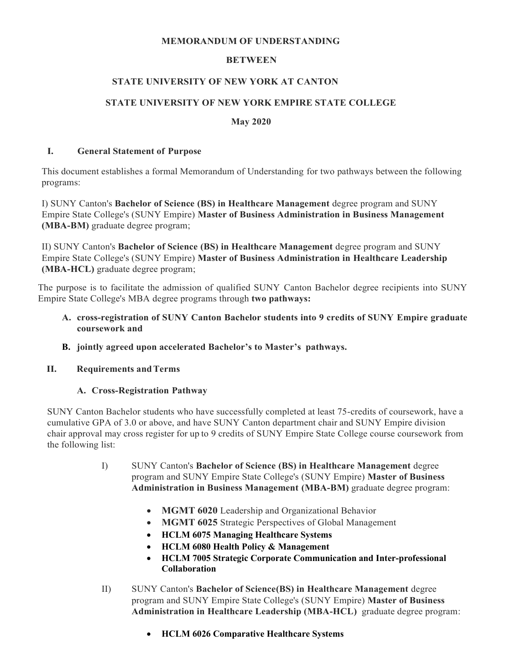#### **MEMORANDUM OF UNDERSTANDING**

## **BETWEEN**

### **STATE UNIVERSITY OF NEW YORK AT CANTON**

## **STATE UNIVERSITY OF NEW YORK EMPIRE STATE COLLEGE**

#### **May 2020**

#### **I. General Statement of Purpose**

This document establishes a formal Memorandum of Understanding for two pathways between the following programs:

I) SUNY Canton's **Bachelor of Science (BS) in Healthcare Management** degree program and SUNY Empire State College's (SUNY Empire) **Master of Business Administration in Business Management (MBA-BM)** graduate degree program;

II) SUNY Canton's **Bachelor of Science (BS) in Healthcare Management** degree program and SUNY Empire State College's (SUNY Empire) **Master of Business Administration in Healthcare Leadership (MBA-HCL)** graduate degree program;

The purpose is to facilitate the admission of qualified SUNY Canton Bachelor degree recipients into SUNY Empire State College's MBA degree programs through **two pathways:**

- **A. cross-registration of SUNY Canton Bachelor students into 9 credits of SUNY Empire graduate coursework and**
- **B. jointly agreed upon accelerated Bachelor's to Master's pathways.**
- **II. Requirements andTerms**

## **A. Cross-Registration Pathway**

SUNY Canton Bachelor students who have successfully completed at least 75-credits of coursework, have a cumulative GPA of 3.0 or above, and have SUNY Canton department chair and SUNY Empire division chair approval may cross register for up to 9 credits of SUNY Empire State College course coursework from the following list:

- I) SUNY Canton's **Bachelor of Science (BS) in Healthcare Management** degree program and SUNY Empire State College's (SUNY Empire) **Master of Business Administration in Business Management (MBA-BM)** graduate degree program:
	- **MGMT 6020** Leadership and Organizational Behavior
	- **MGMT 6025** Strategic Perspectives of Global Management
	- x **HCLM 6075 Managing Healthcare Systems**
	- x **HCLM 6080 Health Policy & Management**
	- x **HCLM 7005 Strategic Corporate Communication and Inter-professional Collaboration**
- II) SUNY Canton's **Bachelor of Science(BS) in Healthcare Management** degree program and SUNY Empire State College's (SUNY Empire) **Master of Business Administration in Healthcare Leadership (MBA-HCL)** graduate degree program:
	- x **HCLM 6026 Comparative Healthcare Systems**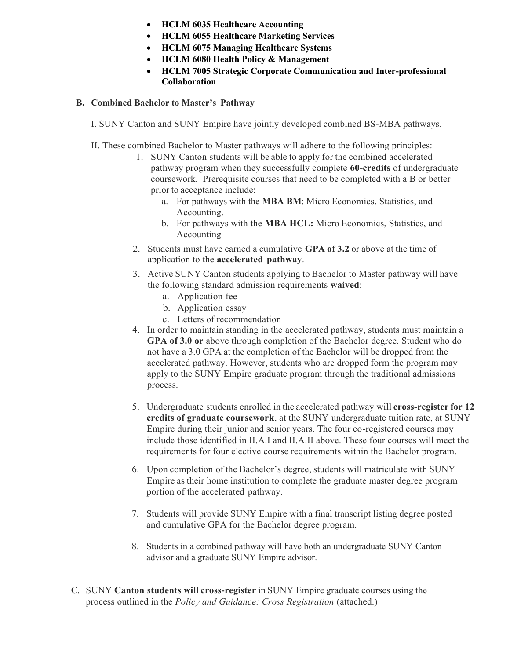- x **HCLM 6035 Healthcare Accounting**
- x **HCLM 6055 Healthcare Marketing Services**
- x **HCLM 6075 Managing Healthcare Systems**
- x **HCLM 6080 Health Policy & Management**
- x **HCLM 7005 Strategic Corporate Communication and Inter-professional Collaboration**

## **B. Combined Bachelor to Master's Pathway**

I. SUNY Canton and SUNY Empire have jointly developed combined BS-MBA pathways.

- II. These combined Bachelor to Master pathways will adhere to the following principles:
	- 1. SUNY Canton students will be able to apply for the combined accelerated pathway program when they successfully complete **60-credits** of undergraduate coursework. Prerequisite courses that need to be completed with a B or better prior to acceptance include:
		- a. For pathways with the **MBA BM**: Micro Economics, Statistics, and Accounting.
		- b. For pathways with the **MBA HCL:** Micro Economics, Statistics, and Accounting
	- 2. Students must have earned a cumulative **GPA of 3.2** or above at the time of application to the **accelerated pathway**.
	- 3. Active SUNY Canton students applying to Bachelor to Master pathway will have the following standard admission requirements **waived**:
		- a. Application fee
		- b. Application essay
		- c. Letters of recommendation
	- 4. In order to maintain standing in the accelerated pathway, students must maintain a **GPA of 3.0 or** above through completion of the Bachelor degree. Student who do not have a 3.0 GPA at the completion of the Bachelor will be dropped from the accelerated pathway. However, students who are dropped form the program may apply to the SUNY Empire graduate program through the traditional admissions process.
	- 5. Undergraduate students enrolled in the accelerated pathway will **cross-register for 12 credits of graduate coursework**, at the SUNY undergraduate tuition rate, at SUNY Empire during their junior and senior years. The four co-registered courses may include those identified in II.A.I and II.A.II above. These four courses will meet the requirements for four elective course requirements within the Bachelor program.
	- 6. Upon completion of the Bachelor's degree, students will matriculate with SUNY Empire as their home institution to complete the graduate master degree program portion of the accelerated pathway.
	- 7. Students will provide SUNY Empire with a final transcript listing degree posted and cumulative GPA for the Bachelor degree program.
	- 8. Students in a combined pathway will have both an undergraduate SUNY Canton advisor and a graduate SUNY Empire advisor.
- C. SUNY **Canton students will cross-register** in SUNY Empire graduate courses using the process outlined in the *Policy and Guidance: Cross Registration* (attached.)